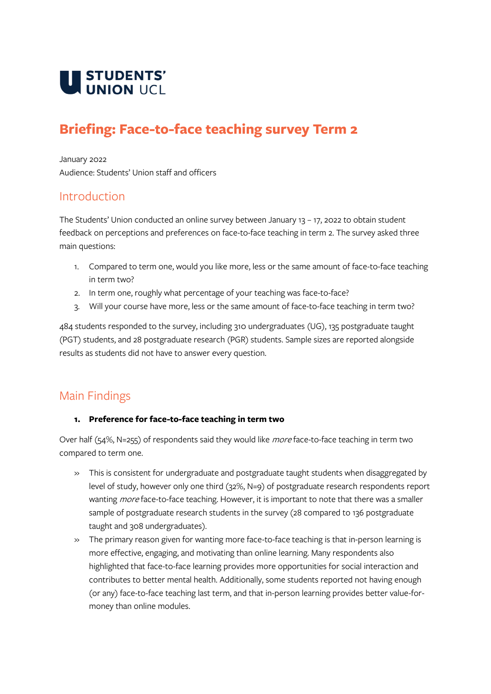

# **Briefing: Face-to-face teaching survey Term 2**

January 2022 Audience: Students' Union staff and officers

### Introduction

The Students' Union conducted an online survey between January 13 – 17, 2022 to obtain student feedback on perceptions and preferences on face-to-face teaching in term 2. The survey asked three main questions:

- 1. Compared to term one, would you like more, less or the same amount of face-to-face teaching in term two?
- 2. In term one, roughly what percentage of your teaching was face-to-face?
- 3. Will your course have more, less or the same amount of face-to-face teaching in term two?

484 students responded to the survey, including 310 undergraduates (UG), 135 postgraduate taught (PGT) students, and 28 postgraduate research (PGR) students. Sample sizes are reported alongside results as students did not have to answer every question.

## Main Findings

#### **1. Preference for face-to-face teaching in term two**

Over half (54%, N=255) of respondents said they would like *more* face-to-face teaching in term two compared to term one.

- » This is consistent for undergraduate and postgraduate taught students when disaggregated by level of study, however only one third (32%, N=9) of postgraduate research respondents report wanting *more* face-to-face teaching. However, it is important to note that there was a smaller sample of postgraduate research students in the survey (28 compared to 136 postgraduate taught and 308 undergraduates).
- » The primary reason given for wanting more face-to-face teaching is that in-person learning is more effective, engaging, and motivating than online learning. Many respondents also highlighted that face-to-face learning provides more opportunities for social interaction and contributes to better mental health. Additionally, some students reported not having enough (or any) face-to-face teaching last term, and that in-person learning provides better value-formoney than online modules.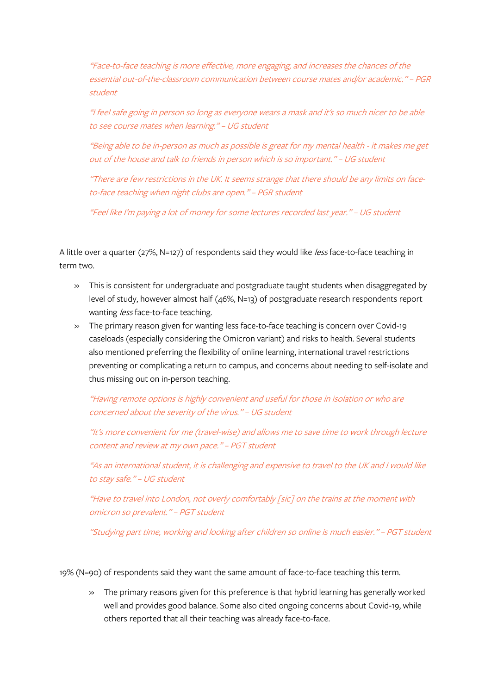"Face-to-face teaching is more effective, more engaging, and increases the chances of the essential out-of-the-classroom communication between course mates and/or academic." – PGR student

"I feel safe going in person so long as everyone wears a mask and it's so much nicer to be able to see course mates when learning." – UG student

"Being able to be in-person as much as possible is great for my mental health - it makes me get out of the house and talk to friends in person which is so important." – UG student

"There are few restrictions in the UK. It seems strange that there should be any limits on faceto-face teaching when night clubs are open." – PGR student

"Feel like I'm paying a lot of money for some lectures recorded last year." – UG student

A little over a quarter (27%, N=127) of respondents said they would like less face-to-face teaching in term two.

- » This is consistent for undergraduate and postgraduate taught students when disaggregated by level of study, however almost half (46%, N=13) of postgraduate research respondents report wanting less face-to-face teaching.
- » The primary reason given for wanting less face-to-face teaching is concern over Covid-19 caseloads (especially considering the Omicron variant) and risks to health. Several students also mentioned preferring the flexibility of online learning, international travel restrictions preventing or complicating a return to campus, and concerns about needing to self-isolate and thus missing out on in-person teaching.

"Having remote options is highly convenient and useful for those in isolation or who are concerned about the severity of the virus." – UG student

"It's more convenient for me (travel-wise) and allows me to save time to work through lecture content and review at my own pace." – PGT student

"As an international student, it is challenging and expensive to travel to the UK and I would like to stay safe." – UG student

"Have to travel into London, not overly comfortably [sic] on the trains at the moment with omicron so prevalent." – PGT student

"Studying part time, working and looking after children so online is much easier." – PGT student

19% (N=90) of respondents said they want the same amount of face-to-face teaching this term.

» The primary reasons given for this preference is that hybrid learning has generally worked well and provides good balance. Some also cited ongoing concerns about Covid-19, while others reported that all their teaching was already face-to-face.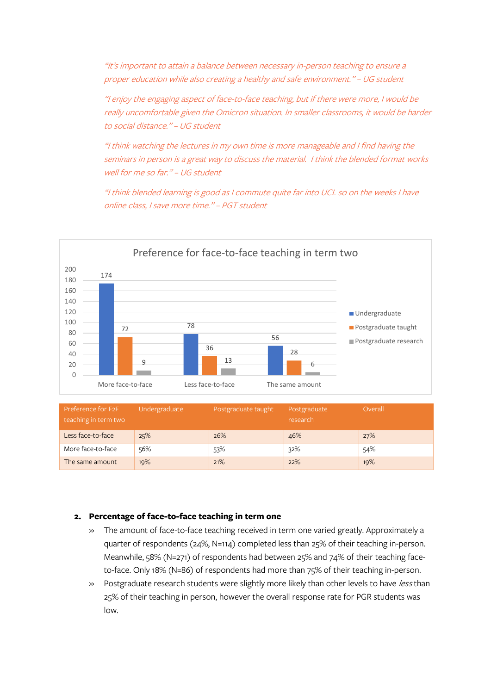"It's important to attain a balance between necessary in-person teaching to ensure a proper education while also creating a healthy and safe environment." – UG student

"I enjoy the engaging aspect of face-to-face teaching, but if there were more, I would be really uncomfortable given the Omicron situation. In smaller classrooms, it would be harder to social distance." – UG student

"I think watching the lectures in my own time is more manageable and I find having the seminars in person is a great way to discuss the material. I think the blended format works well for me so far." – UG student

"I think blended learning is good as I commute quite far into UCL so on the weeks I have online class, I save more time." – PGT student



| Preference for F2F<br>teaching in term two | Undergraduate | Postgraduate taught | Postgraduate<br>research | Overall |
|--------------------------------------------|---------------|---------------------|--------------------------|---------|
| Less face-to-face                          | 25%           | 26%                 | 46%                      | 27%     |
| More face-to-face                          | 56%           | 53%                 | 32%                      | 54%     |
| The same amount                            | 19%           | 21%                 | 22%                      | 19%     |

#### **2. Percentage of face-to-face teaching in term one**

- » The amount of face-to-face teaching received in term one varied greatly. Approximately a quarter of respondents (24%, N=114) completed less than 25% of their teaching in-person. Meanwhile, 58% (N=271) of respondents had between 25% and 74% of their teaching faceto-face. Only 18% (N=86) of respondents had more than 75% of their teaching in-person.
- » Postgraduate research students were slightly more likely than other levels to have less than 25% of their teaching in person, however the overall response rate for PGR students was low.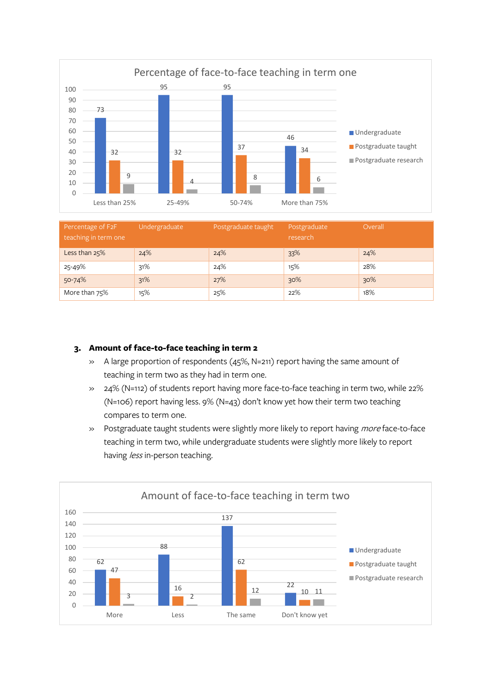

| Percentage of F2F<br>teaching in term one | Undergraduate | Postgraduate taught | Postgraduate<br>research | Overall |
|-------------------------------------------|---------------|---------------------|--------------------------|---------|
| Less than 25%                             | 24%           | 24%                 | 33%                      | 24%     |
| 25-49%                                    | 31%           | 24%                 | 15%                      | 28%     |
| 50-74%                                    | 31%           | 27%                 | 30%                      | 30%     |
| More than 75%                             | 15%           | 25%                 | 22%                      | 18%     |

### **3. Amount of face-to-face teaching in term 2**

- » A large proportion of respondents (45%, N=211) report having the same amount of teaching in term two as they had in term one.
- » 24% (N=112) of students report having more face-to-face teaching in term two, while 22% (N=106) report having less. 9% (N=43) don't know yet how their term two teaching compares to term one.
- » Postgraduate taught students were slightly more likely to report having *more* face-to-face teaching in term two, while undergraduate students were slightly more likely to report having *less* in-person teaching.